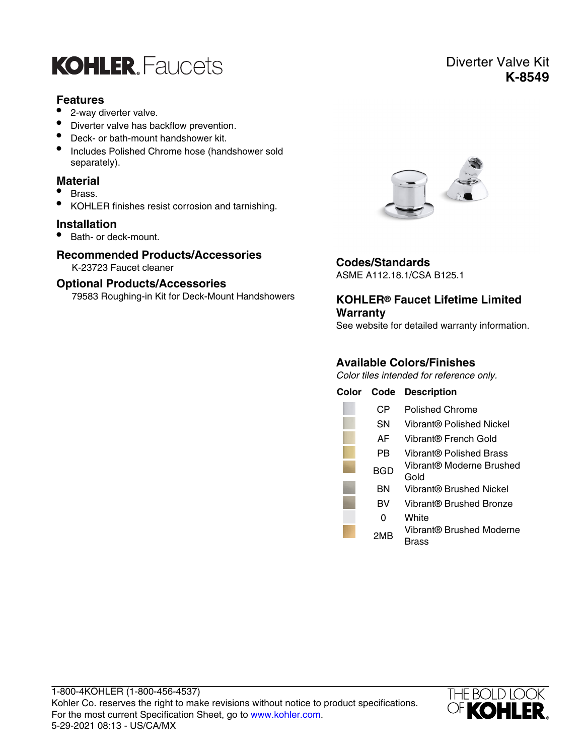

#### **Features**

- 2-way diverter valve.
- Diverter valve has backflow prevention.
- Deck- or bath-mount handshower kit.
- Includes Polished Chrome hose (handshower sold separately).

#### **Material**

- Brass.
- KOHLER finishes resist corrosion and tarnishing.

#### **Installation**

• Bath- or deck-mount.

#### **Recommended Products/Accessories**

K-23723 Faucet cleaner

#### **Optional Products/Accessories**

79583 Roughing-in Kit for Deck-Mount Handshowers



### **Codes/Standards**

ASME A112.18.1/CSA B125.1

#### **KOHLER® Faucet Lifetime Limited Warranty**

See website for detailed warranty information.

### **Available Colors/Finishes**

Color tiles intended for reference only.

| Color | Code | <b>Description</b>                |
|-------|------|-----------------------------------|
|       | CР   | Polished Chrome                   |
|       | SΝ   | Vibrant® Polished Nickel          |
|       | AF   | Vibrant® French Gold              |
|       | РB   | Vibrant® Polished Brass           |
|       | BGD  | Vibrant® Moderne Brushed<br>Gold  |
|       | ΒN   | Vibrant® Brushed Nickel           |
|       | BV   | Vibrant® Brushed Bronze           |
|       | 0    | White                             |
|       | 2MB  | Vibrant® Brushed Moderne<br>Brass |



## Diverter Valve Kit **K-8549**